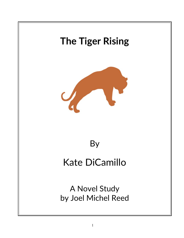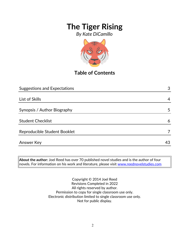*By Kate DiCamillo*



**Table of Contents**

| <b>Suggestions and Expectations</b> | 3  |
|-------------------------------------|----|
|                                     |    |
| List of Skills                      | 4  |
| Synopsis / Author Biography         | 5  |
| <b>Student Checklist</b>            | 6  |
| Reproducible Student Booklet        |    |
| <b>Answer Key</b>                   | 43 |

**About the author:** Joel Reed has over 70 published novel studies and is the author of four novels. For information on his work and literature, please visit [www.reednovelstudies.com](http://www.reednovelstudies.com/)

> Copyright © 2014 Joel Reed Revisions Completed in 2022 All rights reserved by author. Permission to copy for single classroom use only. Electronic distribution limited to single classroom use only. Not for public display.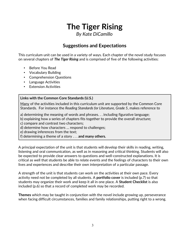*By Kate DiCamillo*

### **Suggestions and Expectations**

This curriculum unit can be used in a variety of ways. Each chapter of the novel study focuses on several chapters of *The Tiger Rising* and is comprised of five of the following activities:

- Before You Read
- Vocabulary Building
- Comprehension Questions
- Language Activities
- **Extension Activities**

#### **Links with the Common Core Standards (U.S.)**

Many of the activities included in this curriculum unit are supported by the Common Core Standards. For instance the *Reading Standards for Literature, Grade 5*, makes reference to

a) determining the meaning of words and phrases. . . including figurative language;

b) explaining how a series of chapters fits together to provide the overall structure;

c) compare and contrast two characters;

d) determine how characters … respond to challenges;

e) drawing inferences from the text;

f) determining a theme of a story . . . **and many others.**

A principal expectation of the unit is that students will develop their skills in reading, writing, listening and oral communication, as well as in reasoning and critical thinking. Students will also be expected to provide clear answers to questions and well-constructed explanations. It is critical as well that students be able to relate events and the feelings of characters to their own lives and experiences and describe their own interpretation of a particular passage.

A strength of the unit is that students can work on the activities at their own pace. Every activity need not be completed by all students. A **portfolio cover** is included (p.7) so that students may organize their work and keep it all in one place. A **Student Checklist** is also included (p.6) so that a record of completed work may be recorded.

**Themes** which may be taught in conjunction with the novel include growing up, perseverance when facing difficult circumstances, families and family relationships, putting right to a wrong.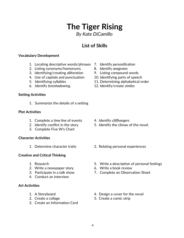## 4

# **The Tiger Rising**

*By Kate DiCamillo*

### **List of Skills**

#### **Vocabulary Development**

- 1. Locating descriptive words/phrases 7. Identify *personification*
- 2. Listing synonyms/homonyms 8. Identify *anagrams*
- 3. Identifying/creating *alliteration* 9. Listing compound words
- 4. Use of capitals and punctuation 10. Identifying parts of speech
- 
- 6. Identify *foreshadowing*. 12. Identify/create *similes*

#### **Setting Activities**

1. Summarize the details of a setting

#### **Plot Activities**

- 1. Complete a *time line* of events 4. Identify *cliffhangers*
- 
- 3. Complete Five W's Chart

#### **Character Activities**

#### **Creative and Critical Thinking**

- 
- 2. Write a newspaper story **6. Write a book review**
- 
- 4. Conduct an interview

#### **Art Activities**

- 
- 
- 3. Create an Information Card
- 
- 
- 
- 
- 5. Identifying syllables 11. Determining alphabetical order
	-

- 
- 2. Identify conflict in the story 5. Identify the climax of the novel.
- 1. Determine character traits 2. Relating personal experiences
- 1. Research 5. Write a description of personal feelings
	-
- 3. Participate in a talk show 7. Complete an Observation Sheet
- 1. A Storyboard **1. A** Storyboard **1.** A Storyboard
- 2. Create a collage 5. Create a comic strip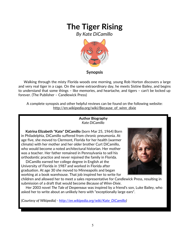*By Kate DiCamillo*



#### **Synopsis**

 Walking through the misty Florida woods one morning, young Rob Horton discovers a large and very real tiger in a cage. On the same extraordinary day, he meets Sistine Bailey, and begins to understand that some things – like memories, and heartache, and tigers – can't be locked up forever. (The Publisher – Candlewick Press)

A complete synopsis and other helpful reviews can be found on the following website: http://en.wikipedia.org/wiki/Because\_of\_winn\_dixie

#### **Author Biography** *Kate DiCamillo*

 **Katrina Elizabeth "Kate" DiCamillo** (born Mar 25, 1964) Born in Philadelphia, DiCamillo suffered from chronic pneumonia. At age five, she moved to Clermont, Florida for her health (warmer climate) with her mother and her older brother Curt DiCamillo, who would become a noted architectural historian. Her mother was a teacher. Her father remained in Pennsylvania to sell his orthodontic practice and never rejoined the family in Florida.

 DiCamillo earned her college degree in English at the University of Florida in 1987 and worked in Florida after graduation. At age 30 she moved to Minneapolis and began working at a book warehouse. That job inspired her to write for



children and allowed her to meet a sales representative for Candlewick Press, resulting in submission of a draft that would become *Because of Winn-Dixie*.

 Her 2003 novel *The Tale of Despereaux* was inspired by a friend's son, Luke Bailey, who asked her to write about an unlikely hero with "exceptionally large ears".

*(Courtesy of Wikipedia) - [http://en.wikipedia.org/wiki/Kate\\_DiCamillo\)](http://en.wikipedia.org/wiki/Kate_DiCamillo)*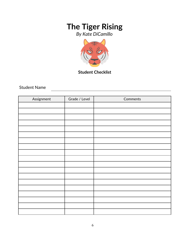*By Kate DiCamillo*



**Student Checklist**

Student Name

| Assignment | Grade / Level | Comments |
|------------|---------------|----------|
|            |               |          |
|            |               |          |
|            |               |          |
|            |               |          |
|            |               |          |
|            |               |          |
|            |               |          |
|            |               |          |
|            |               |          |
|            |               |          |
|            |               |          |
|            |               |          |
|            |               |          |
|            |               |          |
|            |               |          |
|            |               |          |
|            |               |          |
|            |               |          |
|            |               |          |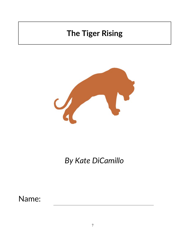

*By Kate DiCamillo*

Name: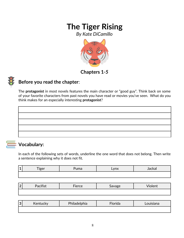*By Kate DiCamillo*



### **Chapters 1***-5*



### **Before you read the chapter**:

The **protagonist** in most novels features the main character or "good guy". Think back on some of your favorite characters from past novels you have read or movies you've seen. What do you think makes for an especially interesting **protagonist**?



### **Vocabulary:**

In each of the following sets of words, underline the one word that does not belong. Then write a sentence explaining why it does not fit.

|     | $-$  | $\sim$ | $\sqrt{mV}$ | Jackal |
|-----|------|--------|-------------|--------|
| -44 | iger | unia   | LYIIA       |        |
|     |      |        |             |        |

| $\sqrt{2}$<br>╹┻ | $\bullet$<br>ーしし | $-$<br>.<br>1212 | יסי<br>$-$ | $-$<br>.<br>the contract of the contract of the contract of the contract of the contract of the contract of |
|------------------|------------------|------------------|------------|-------------------------------------------------------------------------------------------------------------|
|                  |                  |                  |            |                                                                                                             |

| n<br>w | Kentucky | Philadelphia | Florida | Louisiana |
|--------|----------|--------------|---------|-----------|
|        |          |              |         |           |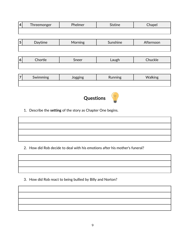| 4              | Threemonger | Phelmer | <b>Sistine</b> | Chapel    |  |
|----------------|-------------|---------|----------------|-----------|--|
|                |             |         |                |           |  |
|                |             |         |                |           |  |
| 5              | Daytime     | Morning | Sunshine       | Afternoon |  |
|                |             |         |                |           |  |
|                |             |         |                |           |  |
| $\overline{6}$ | Chortle     | Sneer   | Laugh          | Chuckle   |  |
|                |             |         |                |           |  |
|                |             |         |                |           |  |
| 7              | Swimming    | Jogging | Running        | Walking   |  |



1. Describe the **setting** of the story as Chapter One begins.

2. How did Rob decide to deal with his emotions after his mother's funeral?

3. How did Rob react to being bullied by Billy and Norton?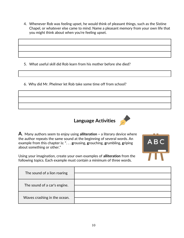4. Whenever Rob was feeling upset, he would think of pleasant things, such as the Sistine Chapel, or whatever else came to mind. Name a pleasant memory from your own life that you might think about when you're feeling upset.

5. What useful skill did Rob learn from his mother before she died?

6. Why did Mr. Phelmer let Rob take some time off from school?





Using your imagination, create your own examples of **alliteration** from the following topics. Each example must contain a minimum of three words.

| The sound of a lion roaring  |  |
|------------------------------|--|
| The sound of a car's engine. |  |
| Waves crashing in the ocean. |  |

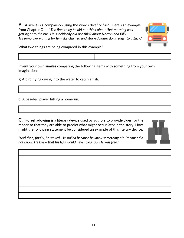**B.** A **simile** is a comparison using the words "like" or "as". Here's an example from Chapter One: *"The final thing he did not think about that morning was getting onto the bus. He specifically did not think about Norton and Billy Threemonger waiting for him like chained and starved guard dogs, eager to attack."*



What two things are being compared in this example?

Invent your own **similes** comparing the following items with something from your own imagination:

a) A bird flying diving into the water to catch a fish.

b) A baseball player hitting a homerun.

**C. Foreshadowing** is a literary device used by authors to provide clues for the reader so that they are able to predict what might occur *later* in the story. How might the following statement be considered an example of this literary device:



*"And then, finally, he smiled. He smiled because he knew something Mr. Phelmer did not know. He knew that his legs would never clear up. He was free."*